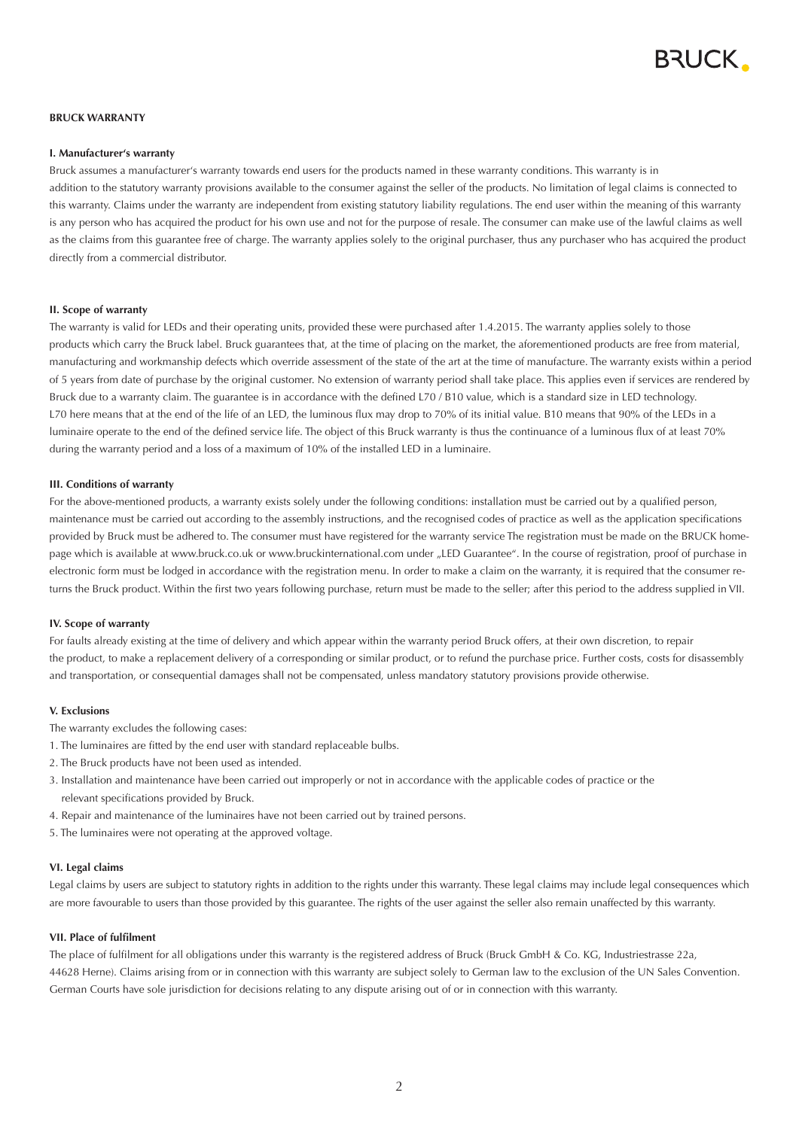

## **BRUCK GARANTIEERKLÄRUNG BRUCK WARRANTY**

# **I. Manufacturer's warranty**

.<br>Bruck assumes a manufacturer's warranty towards end users for the products named in these warranty conditions. This warranty is in addition to the statutory warranty provisions available to the consumer against the seller of the products. No limitation of legal claims is connected to this warranty. Claims under the warranty are independent from existing statutory liability regulations. The end user within the meaning of this warranty is any person who has acquired the product for his own use and not for the purpose of resale. The consumer can make use of the lawful claims as well as the claims from this guarantee free of charge. The warranty applies solely to the original purchaser, thus any purchaser who has acquired the product directly from a commercial distributor.

#### Die Garantie gilt für LED's und deren Betriebsgeräte, soweit diese nach dem 1.4.2015 gekauft worden sind. Die Garantie gilt lediglich für solche Produkte, **II. Scope of warranty**

.<br>The warranty is valid for LEDs and their operating units, provided these were purchased after 1.4.2015. The warranty applies solely to those products which carry the Bruck label. Bruck guarantees that, at the time of placing on the market, the aforementioned products are free from material, .<br>manufacturing and workmanship defects which override assessment of the state of the art at the time of manufacture. The warranty exists within a period of 5 years from date of purchase by the original customer. No extension of warranty period shall take place. This applies even if services are rendered by .<br>Bruck due to a warranty claim. The guarantee is in accordance with the defined L70 / B10 value, which is a standard size in LED technology. L70 here means that at the end of the life of an LED, the luminous flux may drop to 70% of its initial value. B10 means that 90% of the LEDs in a luminaire operate to the end of the defined service life. The object of this Bruck warranty is thus the continuance of a luminous flux of at least 70% during the warranty period and a loss of a maximum of 10% of the installed LED in a luminaire.

# Fill. Conditions of warranty **Exercise besteht eine Garantie lediglich unter folgenden Voraussetzungen**: Es muss eine fachgerechte Installation und eine fachgerechte Installation und eine fachgerechte Installation und eine

**III. Garantievoraussetzungen** 

For the above-mentioned products, a warranty exists solely under the following conditions: installation must be carried out by a qualified person, maintenance must be carried out according to the assembly instructions, and the recognised codes of practice as well as the application specifications provided by Bruck must be adhered to. The consumer must have registered for the warranty service The registration must be made on the BRUCK home-.<br>page which is available at www.bruck.co.uk or www.bruckinternational.com under "LED Guarantee". In the course of registration, proof of purchase in .<br>electronic form must be lodged in accordance with the registration menu. In order to make a claim on the warranty, it is required that the consumer returns the Bruck product. Within the first two years following purchase, return must be made to the seller; after this period to the address supplied in VII.

#### $Bf_{\text{R}}$  für aufgetretene Mängel, die dem Produkt bereits bei der Auslieferung anhafteten und sich innerhalb der Garantiezeit zu **IV. Scope of warranty**

.<br>For faults already existing at the time of delivery and which appear within the warranty period Bruck offers, at their own discretion, to repair the product, to make a replacement delivery of a corresponding or similar product, or to refund the purchase price. Further costs, costs for disassembly and transportation, or consequential damages shall not be compensated, unless mandatory statutory provisions provide otherwise.

# **V.** Exclusions

The warranty excludes the following cases:

- 1. The luminaires are fitted by the end user with standard replaceable bulbs.
- 2. The Bruck products have not been used as intended.
- 3. Installation and maintenance have been carried out improperly or not in accordance with the applicable codes of practice or the relevant specifications provided by Bruck.
- 4. Repair and maintenance of the luminaires have not been carried out by trained persons.
- 5. The luminaires were not operating at the approved voltage.

# **VI. Legal claims**

.<br>Legal claims by users are subject to statutory rights in addition to the rights under this warranty. These legal claims may include legal consequences which are more favourable to users than those provided by this guarantee. The rights of the user against the seller also remain unaffected by this warranty.

# **VII. Place of fulfilment**

The place of fulfilment for all obligations under this warranty is the registered address of Bruck (Bruck GmbH & Co. KG, Industriestrasse 22a, 44628 Herne). Claims arising from or in connection with this warranty are subject solely to German law to the exclusion of the UN Sales Convention. German Courts have sole jurisdiction for decisions relating to any dispute arising out of or in connection with this warranty.